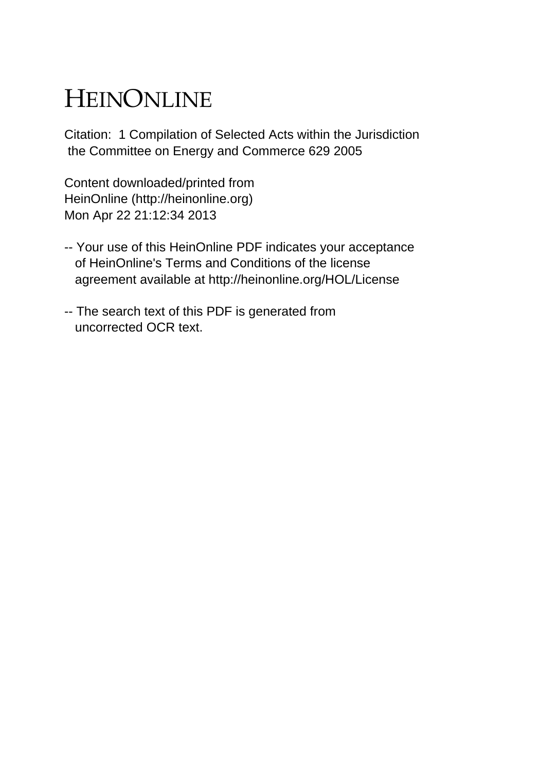# HEINONLINE

Citation: 1 Compilation of Selected Acts within the Jurisdiction the Committee on Energy and Commerce 629 2005

Content downloaded/printed from HeinOnline (http://heinonline.org) Mon Apr 22 21:12:34 2013

- -- Your use of this HeinOnline PDF indicates your acceptance of HeinOnline's Terms and Conditions of the license agreement available at http://heinonline.org/HOL/License
- -- The search text of this PDF is generated from uncorrected OCR text.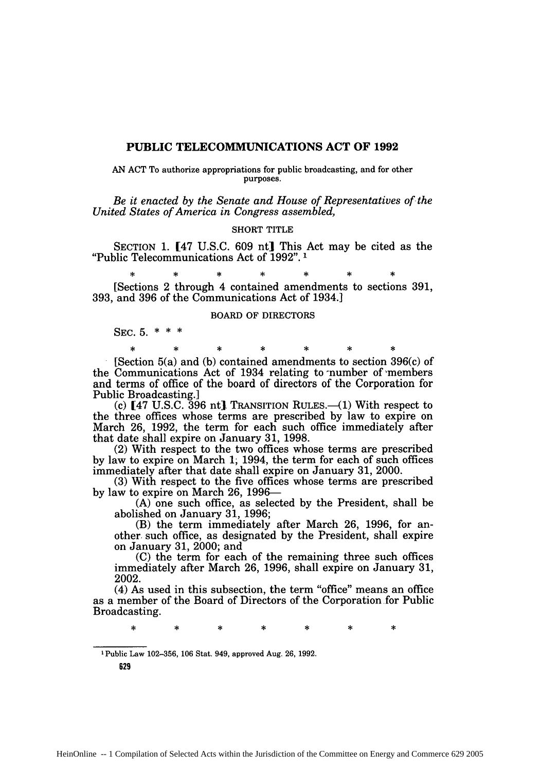# **PUBLIC TELECOMMUNICATIONS ACT OF 1992**

AN **ACT** To authorize appropriations for public broadcasting, and for other purposes.

*Be it enacted by the Senate and House of Representatives of the United States of America in Congress assembled,*

#### SHORT TITLE

SECTION **1. [47** U.S.C. 609 nt] This Act may be cited as the "Public Telecommunications Act of 1992". **1**

**\* \* \* \* \* \* \*** [Sections 2 through 4 contained amendments to sections 391, 393, and 396 of the Communications Act of 1934.]

#### BOARD OF DIRECTORS

**\* \* \* \* \* \* \***

SEC. 5. \* \* \*

[Section 5(a) and (b) contained amendments to section 396(c) of the Communications Act of 1934 relating to number of members and terms of office of the board of directors of the Corporation for Public Broadcasting.]

(c)  $[47 \text{ U.S.C. } 396 \text{ nt}]$ . Transition Rules.—(1) With respect to the three offices whose terms are prescribed by law to expire on March 26, 1992, the term for each such office immediately after that date shall expire on January 31, 1998.

(2) With respect to the two offices whose terms are prescribed by law to expire on March **1;** 1994, the term for each of such offices immediately after that date shall expire on January 31, 2000.

(3) With respect to the five offices whose terms are prescribed by law to expire on March 26, 1996-

(A) one such office, as selected by the President, shall be abolished on January 31, 1996;

(B) the term immediately after March 26, 1996, for another. such office, as designated by the President, shall expire on January 31, 2000; and

(C) the term for each of the remaining three such offices immediately after March 26, 1996, shall expire on January 31, 2002.

(4) As used in this subsection, the term "office" means an office as a member of the Board of Directors of the Corporation for Public Broadcasting.

**1** Public Law **102-356, 106** Stat. 949, approved Aug. 26, 1992.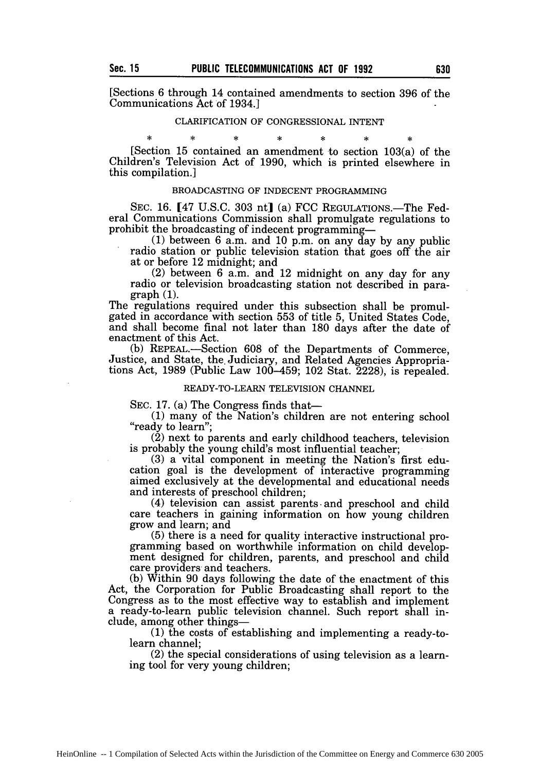[Sections 6 through 14 contained amendments to section 396 of the Communications Act of 1934.]

# CLARIFICATION OF CONGRESSIONAL INTENT

[Section 15 contained an amendment to section 103(a) of the Children's Television Act of 1990, which is printed elsewhere in this compilation.]

### BROADCASTING OF INDECENT PROGRAMMING

SEC. 16. [47 U.S.C. 303 nt] (a) FCC REGULATIONS.—The Federal Communications Commission shall promulgate regulations to prohibit the broadcasting of indecent programming-

**(1)** between 6 a.m. and 10 p.m. on any day by any public radio station or public television station that goes off the air at or before 12 midnight; and<br>(2) between 6 a.m. and 12 midnight on any day for any

radio or television broadcasting station not described in paragraph (1).

The regulations required under this subsection shall be promulgated in accordance with section 553 of title 5, United States Code, and shall become final not later than 180 days after the date of enactment of this Act.

(b) REPEAL.-Section 608 of the Departments of Commerce, Justice, and State, the. Judiciary, and Related Agencies Appropria- tions Act, 1989 (Public Law 100-459; 102 Stat. 2228), is repealed.

### READY-TO-LEARN TELEVISION CHANNEL

SEC. 17. (a) The Congress finds that-

**(1)** many of the Nation's children are not entering school "ready to learn";

(2) next to parents and early childhood teachers, television is probably the young child's most influential teacher;

(3) a vital component in meeting the Nation's first education goal is the development of interactive programming aimed exclusively at the developmental and educational needs and interests of preschool children;

(4) television can assist parents- and preschool and child care teachers in gaining information on how young children grow and learn; and<br>(5) there is a need for quality interactive instructional pro-

gramming based on worthwhile information on child development designed for children, parents, and preschool and child care providers and teachers.

(b) Within 90 days following the date of the enactment of this Act, the Corporation for Public Broadcasting shall report to the Congress as to the most effective way to establish and implement a ready-to-learn public television channel. Such report shall include, among other things- **(1)** the costs of establishing and implementing a ready-to-

learn channel;

(2) the special considerations of using television as a learning tool for very young children;

sk.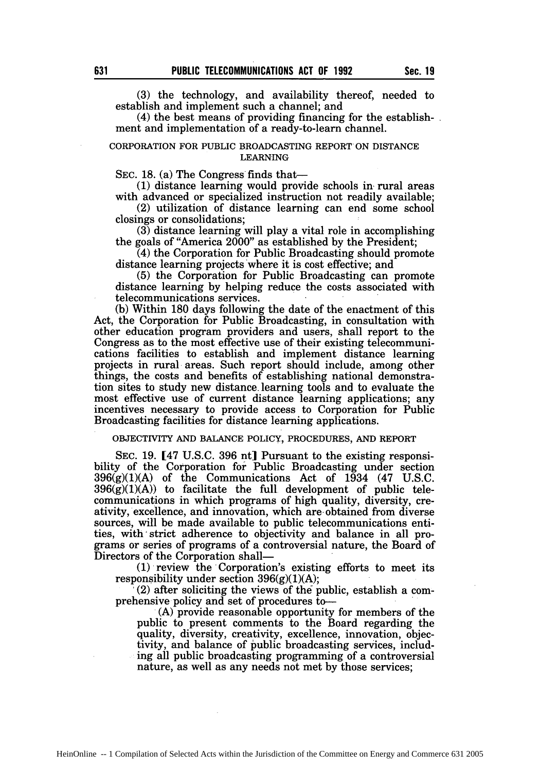(3) the technology, and availability thereof, needed to establish and implement such a channel; and

(4) the best means of providing financing for the establishment and implementation of a ready-to-learn channel.

#### CORPORATION FOR **PUBLIC** BROADCASTING REPORT ON **DISTANCE** LEARNING

SEC. 18. (a) The Congress finds that-

(1) distance learning would provide schools in- rural areas with advanced or specialized instruction not readily available;

(2) utilization of distance learning can end some school closings or consolidations;

(3) distance learning will play a vital role in accomplishing the goals of "America 2000" as established by the President;

(4) the Corporation for Public Broadcasting should promote distance learning projects where it is cost effective; and

(5) the Corporation for Public Broadcasting can promote distance learning by helping reduce the costs associated with telecommunications services.

(b) Within 180 days following the date of the enactment of this Act, the Corporation for Public Broadcasting, in consultation with other education program providers and users, shall report to the Congress as to the most effective use of their existing telecommunications facilities to establish and implement distance learning projects in rural areas. Such report should include, among other things, the costs and benefits of establishing national demonstration sites to study new distance. learning tools and to evaluate the most effective use of current distance learning applications; any incentives necessary to provide access to Corporation for Public Broadcasting facilities for distance learning applications.

## OBJECTIVITY **AND BALANCE** POLICY, PROCEDURES, **AND** REPORT

**SEC.** 19. [47 U.S.C. 396 nt] Pursuant to the existing responsibility of the Corporation for Public Broadcasting under section  $396(g)(1)(A)$  of the Communications Act of  $1\overline{9}34$  (47 U.S.C.  $396(\bar{g})(1)(A)$  to facilitate the full development of public telecommunications in which programs of high quality, diversity, creativity, excellence, and innovation, which are-obtained from diverse sources, will be made available to public telecommunications entities, with strict adherence to objectivity and balance in all programs or series of programs of a controversial nature, the Board of Directors of the Corporation shall-

**(1)** review the Corporation's existing efforts to meet its responsibility under section  $396(g)(1)(A)$ ;<br>(2) after soliciting the views of the public, establish a com-

prehensive policy and set of procedures to  $(A)$  provide reasonable opportunity for members of the

public to present comments to the Board regarding the quality, diversity, creativity, excellence, innovation, objectivity, and balance of public broadcasting services, including all public broadcasting programming of a controversial nature, as well as any needs not met by those services;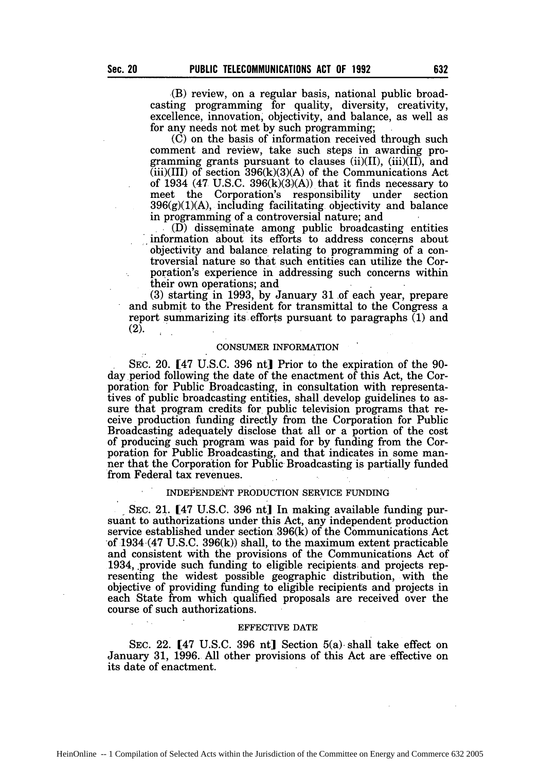(B) review, on a regular basis, national public broadcasting programming for quality, diversity, creativity, excellence, innovation, objectivity, and balance, as well as for any needs not met by such programming;

(C) on the basis of information received through such comment and review, take such steps in awarding programming grants pursuant to clauses  $(ii)(II)$ ,  $(iii)(II)$ , and  $(iii)(III)$  of section 396 $(k)(3)(A)$  of the Communications Act of 1934 (47 U.S.C. 396 $(k)(3)(A)$ ) that it finds necessary to meet the Corporation's responsibility under section  $396(g)(1)(A)$ , including facilitating objectivity and balance in programming of a controversial nature; and

(D) disseminate among public broadcasting entities information about its efforts to address concerns about objectivity and balance relating to programming of a controversial nature so that such entities can utilize the Corporation's experience in addressing such concerns within their own operations; and

 $(3)$  starting in 1993, by January 31 of each year, prepare and submit to the President for transmittal to the Congress a report summarizing its efforts pursuant to paragraphs (1) and (2).

#### CONSUMER INFORMATION

SEC. 20. [47 U.S.C. 396 nt] Prior to the expiration of the 90 day period following the date of the enactment of this Act, the Corporation for Public Broadcasting, in consultation with representatives of public broadcasting entities, shall develop guidelines to assure that program credits for public television programs that receive production funding directly from the Corporation for Public Broadcasting adequately disclose that all or a portion of the cost of producing such program was paid for by funding from the Corporation for Public Broadcasting, and that indicates in some manner that the Corporation for Public Broadcasting is partially funded from Federal tax revenues.

#### INDEPENDENT PRODUCTION SERVICE FUNDING

SEC. 21. [47 U.S.C. 396 nt] In making available funding pursuant to authorizations under this Act, any independent production service established under section 396(k) of the Communications Act of 1934-(47 U.S.C. 396(k)) shall, to the maximum extent practicable and consistent with the provisions of the Communications Act of 1934, .provide such funding to eligible recipients and projects representing the widest possible geographic distribution, with the objective of providing funding to eligible recipients and projects in each State from which qualified proposals are received over the course of such authorizations.

#### EFFECTIVE DATE

SEC. 22. [47 U.S.C. 396 nt] Section 5(a). shall take effect on January 31, 1996. All other provisions of this Act are effective on its date of enactment.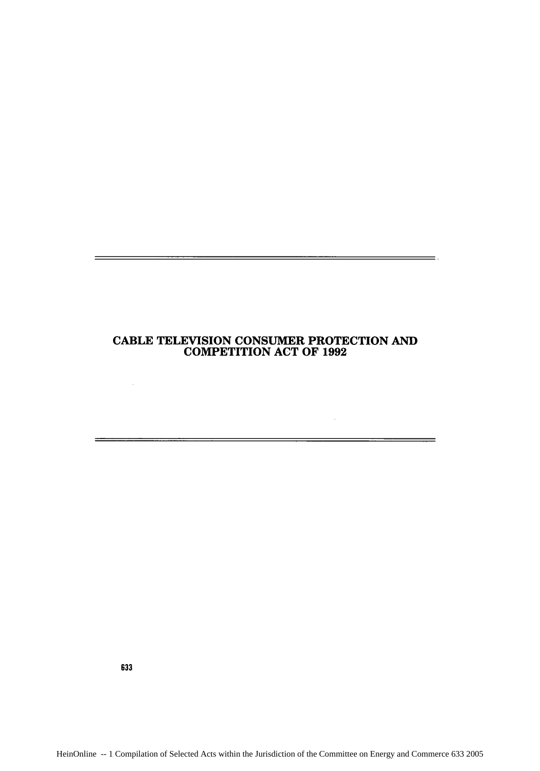# **CABLE TELEVISION CONSUMER** PROTECTION **AND** COMPETITION **ACT** OF **1992**

 $\overline{\phantom{iiiiiiiiiiiiiii}}$ 

633